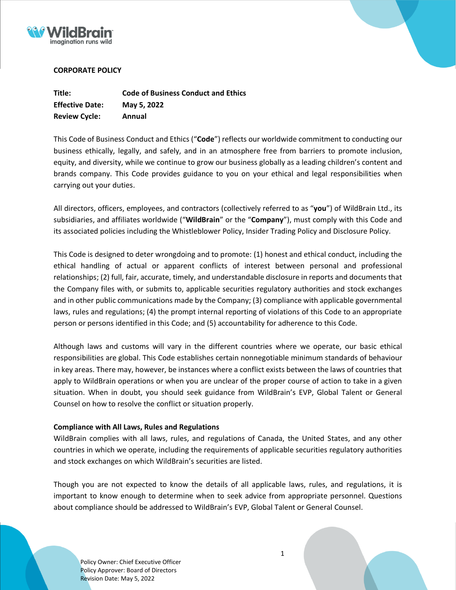



# **CORPORATE POLICY**

| Title:                 | <b>Code of Business Conduct and Ethics</b> |
|------------------------|--------------------------------------------|
| <b>Effective Date:</b> | May 5, 2022                                |
| <b>Review Cycle:</b>   | Annual                                     |

This Code of Business Conduct and Ethics ("**Code**") reflects our worldwide commitment to conducting our business ethically, legally, and safely, and in an atmosphere free from barriers to promote inclusion, equity, and diversity, while we continue to grow our business globally as a leading children's content and brands company. This Code provides guidance to you on your ethical and legal responsibilities when carrying out your duties.

All directors, officers, employees, and contractors (collectively referred to as "**you**") of WildBrain Ltd., its subsidiaries, and affiliates worldwide ("**WildBrain**" or the "**Company**"), must comply with this Code and its associated policies including the Whistleblower Policy, Insider Trading Policy and Disclosure Policy.

This Code is designed to deter wrongdoing and to promote: (1) honest and ethical conduct, including the ethical handling of actual or apparent conflicts of interest between personal and professional relationships; (2) full, fair, accurate, timely, and understandable disclosure in reports and documents that the Company files with, or submits to, applicable securities regulatory authorities and stock exchanges and in other public communications made by the Company; (3) compliance with applicable governmental laws, rules and regulations; (4) the prompt internal reporting of violations of this Code to an appropriate person or persons identified in this Code; and (5) accountability for adherence to this Code.

Although laws and customs will vary in the different countries where we operate, our basic ethical responsibilities are global. This Code establishes certain nonnegotiable minimum standards of behaviour in key areas. There may, however, be instances where a conflict exists between the laws of countries that apply to WildBrain operations or when you are unclear of the proper course of action to take in a given situation. When in doubt, you should seek guidance from WildBrain's EVP, Global Talent or General Counsel on how to resolve the conflict or situation properly.

# **Compliance with All Laws, Rules and Regulations**

WildBrain complies with all laws, rules, and regulations of Canada, the United States, and any other countries in which we operate, including the requirements of applicable securities regulatory authorities and stock exchanges on which WildBrain's securities are listed.

Though you are not expected to know the details of all applicable laws, rules, and regulations, it is important to know enough to determine when to seek advice from appropriate personnel. Questions about compliance should be addressed to WildBrain's EVP, Global Talent or General Counsel.

Policy Owner: Chief Executive Officer Policy Approver: Board of Directors Revision Date: May 5, 2022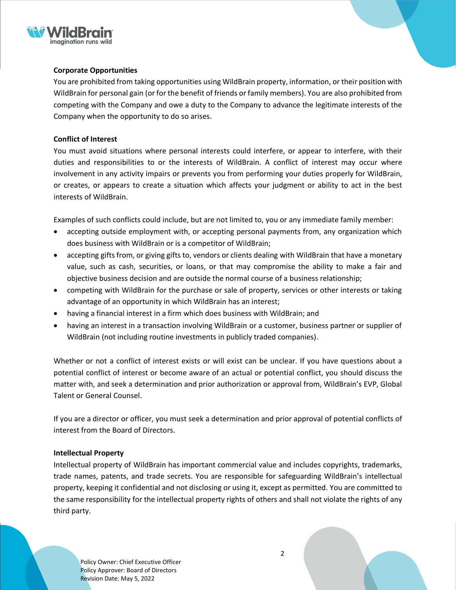

# **Corporate Opportunities**

You are prohibited from taking opportunities using WildBrain property, information, or their position with WildBrain for personal gain (or for the benefit of friends or family members). You are also prohibited from competing with the Company and owe a duty to the Company to advance the legitimate interests of the Company when the opportunity to do so arises.

# **Conflict of Interest**

You must avoid situations where personal interests could interfere, or appear to interfere, with their duties and responsibilities to or the interests of WildBrain. A conflict of interest may occur where involvement in any activity impairs or prevents you from performing your duties properly for WildBrain, or creates, or appears to create a situation which affects your judgment or ability to act in the best interests of WildBrain.

Examples of such conflicts could include, but are not limited to, you or any immediate family member:

- accepting outside employment with, or accepting personal payments from, any organization which does business with WildBrain or is a competitor of WildBrain;
- accepting gifts from, or giving gifts to, vendors or clients dealing with WildBrain that have a monetary value, such as cash, securities, or loans, or that may compromise the ability to make a fair and objective business decision and are outside the normal course of a business relationship;
- competing with WildBrain for the purchase or sale of property, services or other interests or taking advantage of an opportunity in which WildBrain has an interest;
- having a financial interest in a firm which does business with WildBrain; and
- having an interest in a transaction involving WildBrain or a customer, business partner or supplier of WildBrain (not including routine investments in publicly traded companies).

Whether or not a conflict of interest exists or will exist can be unclear. If you have questions about a potential conflict of interest or become aware of an actual or potential conflict, you should discuss the matter with, and seek a determination and prior authorization or approval from, WildBrain's EVP, Global Talent or General Counsel.

If you are a director or officer, you must seek a determination and prior approval of potential conflicts of interest from the Board of Directors.

# **Intellectual Property**

Intellectual property of WildBrain has important commercial value and includes copyrights, trademarks, trade names, patents, and trade secrets. You are responsible for safeguarding WildBrain's intellectual property, keeping it confidential and not disclosing or using it, except as permitted. You are committed to the same responsibility for the intellectual property rights of others and shall not violate the rights of any third party.

Policy Owner: Chief Executive Officer Policy Approver: Board of Directors Revision Date: May 5, 2022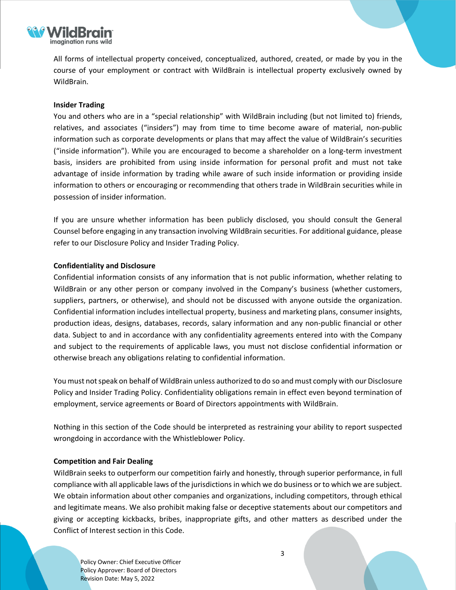

All forms of intellectual property conceived, conceptualized, authored, created, or made by you in the course of your employment or contract with WildBrain is intellectual property exclusively owned by WildBrain.

# **Insider Trading**

You and others who are in a "special relationship" with WildBrain including (but not limited to) friends, relatives, and associates ("insiders") may from time to time become aware of material, non-public information such as corporate developments or plans that may affect the value of WildBrain's securities ("inside information"). While you are encouraged to become a shareholder on a long-term investment basis, insiders are prohibited from using inside information for personal profit and must not take advantage of inside information by trading while aware of such inside information or providing inside information to others or encouraging or recommending that others trade in WildBrain securities while in possession of insider information.

If you are unsure whether information has been publicly disclosed, you should consult the General Counsel before engaging in any transaction involving WildBrain securities. For additional guidance, please refer to our Disclosure Policy and Insider Trading Policy.

## **Confidentiality and Disclosure**

Confidential information consists of any information that is not public information, whether relating to WildBrain or any other person or company involved in the Company's business (whether customers, suppliers, partners, or otherwise), and should not be discussed with anyone outside the organization. Confidential information includes intellectual property, business and marketing plans, consumer insights, production ideas, designs, databases, records, salary information and any non-public financial or other data. Subject to and in accordance with any confidentiality agreements entered into with the Company and subject to the requirements of applicable laws, you must not disclose confidential information or otherwise breach any obligations relating to confidential information.

You must not speak on behalf of WildBrain unless authorized to do so and must comply with our Disclosure Policy and Insider Trading Policy. Confidentiality obligations remain in effect even beyond termination of employment, service agreements or Board of Directors appointments with WildBrain.

Nothing in this section of the Code should be interpreted as restraining your ability to report suspected wrongdoing in accordance with the Whistleblower Policy.

#### **Competition and Fair Dealing**

WildBrain seeks to outperform our competition fairly and honestly, through superior performance, in full compliance with all applicable laws of the jurisdictions in which we do business or to which we are subject. We obtain information about other companies and organizations, including competitors, through ethical and legitimate means. We also prohibit making false or deceptive statements about our competitors and giving or accepting kickbacks, bribes, inappropriate gifts, and other matters as described under the Conflict of Interest section in this Code.

Policy Owner: Chief Executive Officer Policy Approver: Board of Directors Revision Date: May 5, 2022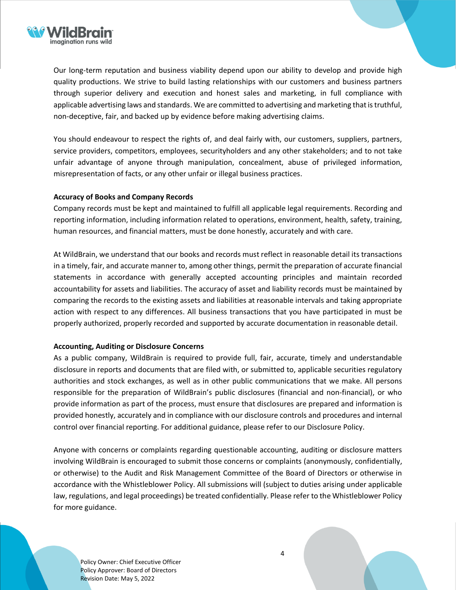

Our long-term reputation and business viability depend upon our ability to develop and provide high quality productions. We strive to build lasting relationships with our customers and business partners through superior delivery and execution and honest sales and marketing, in full compliance with applicable advertising laws and standards. We are committed to advertising and marketing that is truthful, non-deceptive, fair, and backed up by evidence before making advertising claims.

You should endeavour to respect the rights of, and deal fairly with, our customers, suppliers, partners, service providers, competitors, employees, securityholders and any other stakeholders; and to not take unfair advantage of anyone through manipulation, concealment, abuse of privileged information, misrepresentation of facts, or any other unfair or illegal business practices.

## **Accuracy of Books and Company Records**

Company records must be kept and maintained to fulfill all applicable legal requirements. Recording and reporting information, including information related to operations, environment, health, safety, training, human resources, and financial matters, must be done honestly, accurately and with care.

At WildBrain, we understand that our books and records must reflect in reasonable detail its transactions in a timely, fair, and accurate manner to, among other things, permit the preparation of accurate financial statements in accordance with generally accepted accounting principles and maintain recorded accountability for assets and liabilities. The accuracy of asset and liability records must be maintained by comparing the records to the existing assets and liabilities at reasonable intervals and taking appropriate action with respect to any differences. All business transactions that you have participated in must be properly authorized, properly recorded and supported by accurate documentation in reasonable detail.

#### **Accounting, Auditing or Disclosure Concerns**

As a public company, WildBrain is required to provide full, fair, accurate, timely and understandable disclosure in reports and documents that are filed with, or submitted to, applicable securities regulatory authorities and stock exchanges, as well as in other public communications that we make. All persons responsible for the preparation of WildBrain's public disclosures (financial and non-financial), or who provide information as part of the process, must ensure that disclosures are prepared and information is provided honestly, accurately and in compliance with our disclosure controls and procedures and internal control over financial reporting. For additional guidance, please refer to our Disclosure Policy.

Anyone with concerns or complaints regarding questionable accounting, auditing or disclosure matters involving WildBrain is encouraged to submit those concerns or complaints (anonymously, confidentially, or otherwise) to the Audit and Risk Management Committee of the Board of Directors or otherwise in accordance with the Whistleblower Policy. All submissions will (subject to duties arising under applicable law, regulations, and legal proceedings) be treated confidentially. Please refer to the [Whistleblower](https://www.wildbrain.com/whistleblower-policy) Policy for more guidance.

Policy Owner: Chief Executive Officer Policy Approver: Board of Directors Revision Date: May 5, 2022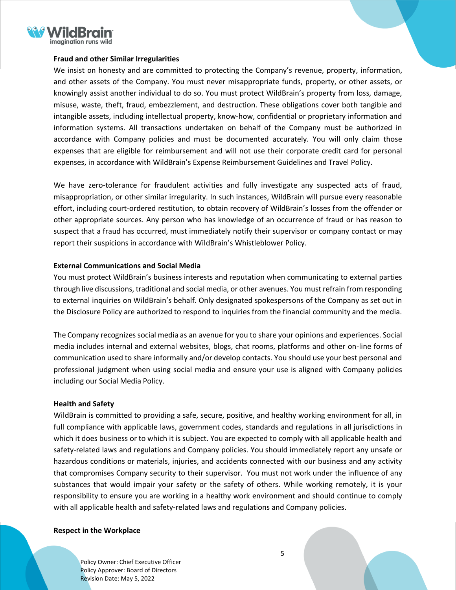

## **Fraud and other Similar Irregularities**

We insist on honesty and are committed to protecting the Company's revenue, property, information, and other assets of the Company. You must never misappropriate funds, property, or other assets, or knowingly assist another individual to do so. You must protect WildBrain's property from loss, damage, misuse, waste, theft, fraud, embezzlement, and destruction. These obligations cover both tangible and intangible assets, including intellectual property, know-how, confidential or proprietary information and information systems. All transactions undertaken on behalf of the Company must be authorized in accordance with Company policies and must be documented accurately. You will only claim those expenses that are eligible for reimbursement and will not use their corporate credit card for personal expenses, in accordance with WildBrain's Expense Reimbursement Guidelines and Travel Policy.

We have zero-tolerance for fraudulent activities and fully investigate any suspected acts of fraud, misappropriation, or other similar irregularity. In such instances, WildBrain will pursue every reasonable effort, including court-ordered restitution, to obtain recovery of WildBrain's losses from the offender or other appropriate sources. Any person who has knowledge of an occurrence of fraud or has reason to suspect that a fraud has occurred, must immediately notify their supervisor or company contact or may report their suspicions in accordance with WildBrain's Whistleblower Policy.

## **External Communications and Social Media**

You must protect WildBrain's business interests and reputation when communicating to external parties through live discussions, traditional and social media, or other avenues. You must refrain from responding to external inquiries on WildBrain's behalf. Only designated spokespersons of the Company as set out in the Disclosure Policy are authorized to respond to inquiries from the financial community and the media.

The Company recognizes social media as an avenue for you to share your opinions and experiences. Social media includes internal and external websites, blogs, chat rooms, platforms and other on-line forms of communication used to share informally and/or develop contacts. You should use your best personal and professional judgment when using social media and ensure your use is aligned with Company policies including our Social Media Policy.

#### **Health and Safety**

WildBrain is committed to providing a safe, secure, positive, and healthy working environment for all, in full compliance with applicable laws, government codes, standards and regulations in all jurisdictions in which it does business or to which it is subject. You are expected to comply with all applicable health and safety-related laws and regulations and Company policies. You should immediately report any unsafe or hazardous conditions or materials, injuries, and accidents connected with our business and any activity that compromises Company security to their supervisor. You must not work under the influence of any substances that would impair your safety or the safety of others. While working remotely, it is your responsibility to ensure you are working in a healthy work environment and should continue to comply with all applicable health and safety-related laws and regulations and Company policies.

#### **Respect in the Workplace**

Policy Owner: Chief Executive Officer Policy Approver: Board of Directors Revision Date: May 5, 2022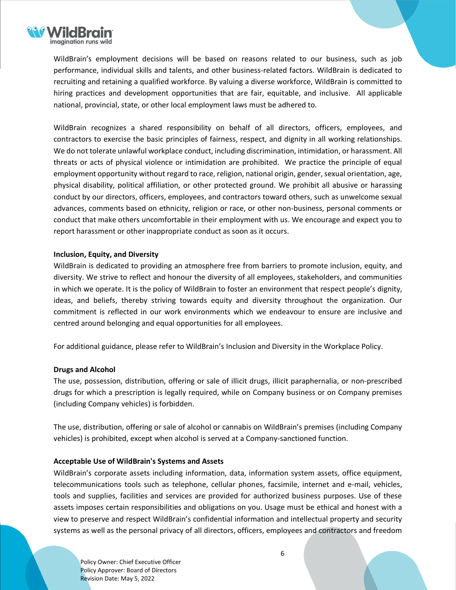

WildBrain's employment decisions will be based on reasons related to our business, such as job performance, individual skills and talents, and other business-related factors. WildBrain is dedicated to recruiting and retaining a qualified workforce. By valuing a diverse workforce, WildBrain is committed to hiring practices and development opportunities that are fair, equitable, and inclusive. All applicable national, provincial, state, or other local employment laws must be adhered to.

WildBrain recognizes a shared responsibility on behalf of all directors, officers, employees, and contractors to exercise the basic principles of fairness, respect, and dignity in all working relationships. We do not tolerate unlawful workplace conduct, including discrimination, intimidation, or harassment. All threats or acts of physical violence or intimidation are prohibited. We practice the principle of equal employment opportunity without regard to race, religion, national origin, gender, sexual orientation, age, physical disability, political affiliation, or other protected ground. We prohibit all abusive or harassing conduct by our directors, officers, employees, and contractors toward others, such as unwelcome sexual advances, comments based on ethnicity, religion or race, or other non-business, personal comments or conduct that make others uncomfortable in their employment with us. We encourage and expect you to report harassment or other inappropriate conduct as soon as it occurs.

# **Inclusion, Equity, and Diversity**

WildBrain is dedicated to providing an atmosphere free from barriers to promote inclusion, equity, and diversity. We strive to reflect and honour the diversity of all employees, stakeholders, and communities in which we operate. It is the policy of WildBrain to foster an environment that respect people's dignity, ideas, and beliefs, thereby striving towards equity and diversity throughout the organization. Our commitment is reflected in our work environments which we endeavour to ensure are inclusive and centred around belonging and equal opportunities for all employees.

For additional guidance, please refer to WildBrain's Inclusion and Diversity in the Workplace Policy.

# **Drugs and Alcohol**

The use, possession, distribution, offering or sale of illicit drugs, illicit paraphernalia, or non-prescribed drugs for which a prescription is legally required, while on Company business or on Company premises (including Company vehicles) is forbidden.

The use, distribution, offering or sale of alcohol or cannabis on WildBrain's premises (including Company vehicles) is prohibited, except when alcohol is served at a Company-sanctioned function.

# **Acceptable Use of WildBrain's Systems and Assets**

WildBrain's corporate assets including information, data, information system assets, office equipment, telecommunications tools such as telephone, cellular phones, facsimile, internet and e-mail, vehicles, tools and supplies, facilities and services are provided for authorized business purposes. Use of these assets imposes certain responsibilities and obligations on you. Usage must be ethical and honest with a view to preserve and respect WildBrain's confidential information and intellectual property and security systems as well as the personal privacy of all directors, officers, employees and contractors and freedom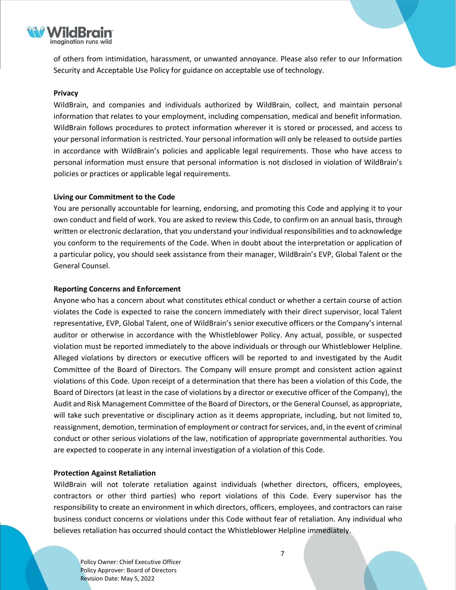

of others from intimidation, harassment, or unwanted annoyance. Please also refer to our Information Security and Acceptable Use Policy for guidance on acceptable use of technology.

## **Privacy**

WildBrain, and companies and individuals authorized by WildBrain, collect, and maintain personal information that relates to your employment, including compensation, medical and benefit information. WildBrain follows procedures to protect information wherever it is stored or processed, and access to your personal information is restricted. Your personal information will only be released to outside parties in accordance with WildBrain's policies and applicable legal requirements. Those who have access to personal information must ensure that personal information is not disclosed in violation of WildBrain's policies or practices or applicable legal requirements.

## **Living our Commitment to the Code**

You are personally accountable for learning, endorsing, and promoting this Code and applying it to your own conduct and field of work. You are asked to review this Code, to confirm on an annual basis, through written or electronic declaration, that you understand your individual responsibilities and to acknowledge you conform to the requirements of the Code. When in doubt about the interpretation or application of a particular policy, you should seek assistance from their manager, WildBrain's EVP, Global Talent or the General Counsel.

## **Reporting Concerns and Enforcement**

Anyone who has a concern about what constitutes ethical conduct or whether a certain course of action violates the Code is expected to raise the concern immediately with their direct supervisor, local Talent representative, EVP, Global Talent, one of WildBrain's senior executive officers or the Company's internal auditor or otherwise in accordance with the Whistleblower Policy. Any actual, possible, or suspected violation must be reported immediately to the above individuals or through our Whistleblower Helpline. Alleged violations by directors or executive officers will be reported to and investigated by the Audit Committee of the Board of Directors. The Company will ensure prompt and consistent action against violations of this Code. Upon receipt of a determination that there has been a violation of this Code, the Board of Directors (at least in the case of violations by a director or executive officer of the Company), the Audit and Risk Management Committee of the Board of Directors, or the General Counsel, as appropriate, will take such preventative or disciplinary action as it deems appropriate, including, but not limited to, reassignment, demotion, termination of employment or contract forservices, and, in the event of criminal conduct or other serious violations of the law, notification of appropriate governmental authorities. You are expected to cooperate in any internal investigation of a violation of this Code.

#### **Protection Against Retaliation**

WildBrain will not tolerate retaliation against individuals (whether directors, officers, employees, contractors or other third parties) who report violations of this Code. Every supervisor has the responsibility to create an environment in which directors, officers, employees, and contractors can raise business conduct concerns or violations under this Code without fear of retaliation. Any individual who believes retaliation has occurred should contact the Whistleblower Helpline immediately.

Policy Owner: Chief Executive Officer Policy Approver: Board of Directors Revision Date: May 5, 2022